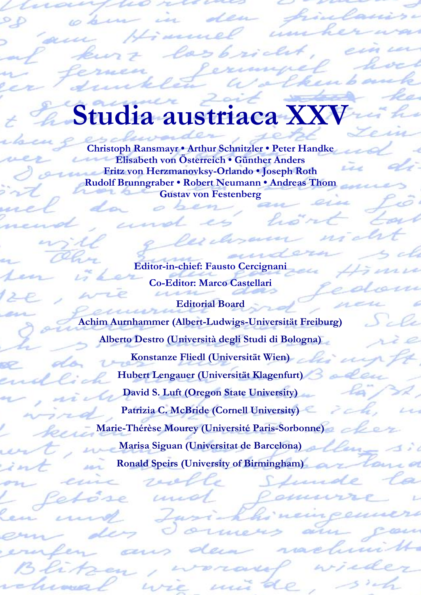## **Lia austriaca**

**Christoph Ransmayr • Arthur Schnitzler • Peter Handke Elisabeth von Österreich • Günther Anders Fritz von Herzmanovksy-Orlando • Joseph Roth Rudolf Brunngraber • Robert Neumann • Andreas Thom Gustav von Festenberg**

> **Editor-in-chief: Fausto Cercignani Co-Editor: Marco Castellari**

**Editorial Board Achim Aurnhammer (Albert-Ludwigs-Universität Freiburg) Alberto Destro (Università degli Studi di Bologna) Konstanze Fliedl (Universität Wien) Hubert Lengauer (Universität Klagenfurt) David S. Luft (Oregon State University) Patrizia C. McBride (Cornell University) Marie-Thérèse Mourey (Université Paris-Sorbonne) Marisa Siguan (Universitat de Barcelona) Ronald Speirs (University of Birmingham)**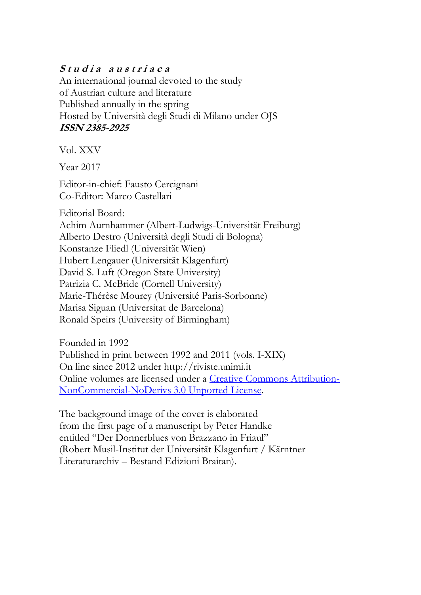## Studia austriaca

An international journal devoted to the study of Austrian culture and literature Published annually in the spring Hosted by Università degli Studi di Milano under OJS **ISSN 2385-2925**

Vol. XXV

Year 2017

Editor-in-chief: Fausto Cercignani Co-Editor: Marco Castellari

Editorial Board:

Achim Aurnhammer (Albert-Ludwigs-Universität Freiburg) Alberto Destro (Università degli Studi di Bologna) Konstanze Fliedl (Universität Wien) Hubert Lengauer (Universität Klagenfurt) David S. Luft (Oregon State University) Patrizia C. McBride (Cornell University) Marie-Thérèse Mourey (Université Paris-Sorbonne) Marisa Siguan (Universitat de Barcelona) Ronald Speirs (University of Birmingham)

Founded in 1992 Published in print between 1992 and 2011 (vols. I-XIX) On line since 2012 under http://riviste.unimi.it Online volumes are licensed under a [Creative Commons Attribution-](http://creativecommons.org/licenses/by-nc-nd/3.0/)[NonCommercial-NoDerivs 3.0 Unported License.](http://creativecommons.org/licenses/by-nc-nd/3.0/)

The background image of the cover is elaborated from the first page of a manuscript by Peter Handke entitled "Der Donnerblues von Brazzano in Friaul" (Robert Musil-Institut der Universität Klagenfurt / Kärntner Literaturarchiv – Bestand Edizioni Braitan).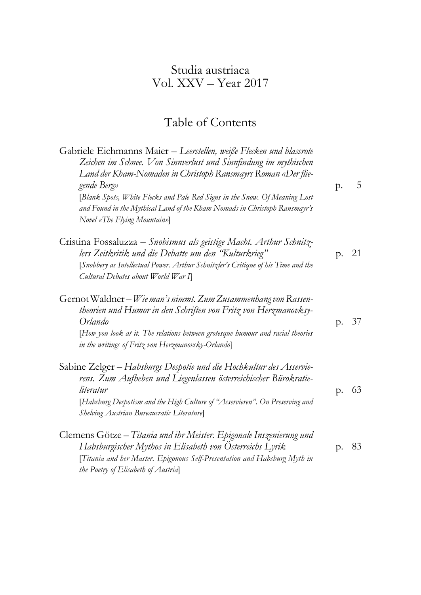## Studia austriaca Vol. XXV – Year 2017

## Table of Contents

| Gabriele Eichmanns Maier - Leerstellen, weiße Flecken und blassrote<br>Zeichen im Schnee. Von Sinnverlust und Sinnfindung im mythischen<br>Land der Kham-Nomaden in Christoph Ransmayrs Roman «Der flie-<br>gende Berg»<br>[Blank Spots, White Flecks and Pale Red Signs in the Snow. Of Meaning Lost<br>and Found in the Mythical Land of the Kham Nomads in Christoph Ransmayr's<br>Novel «The Flying Mountain»] | p. | 5  |
|--------------------------------------------------------------------------------------------------------------------------------------------------------------------------------------------------------------------------------------------------------------------------------------------------------------------------------------------------------------------------------------------------------------------|----|----|
| Cristina Fossaluzza – Snobismus als geistige Macht. Arthur Schnitz-<br>lers Zeitkritik und die Debatte um den 'Kulturkrieg"<br>[Snobbery as Intellectual Power. Arthur Schnitzler's Critique of his Time and the<br>Cultural Debates about World War I                                                                                                                                                             | p. | 21 |
| Gernot Waldner – Wie man's nimmt. Zum Zusammenhang von Rassen-<br>theorien und Humor in den Schriften von Fritz von Herzmanovksy-<br>Orlando<br>[How you look at it. The relations between grotesque humour and racial theories<br>in the writings of Fritz von Herzmanovsky-Orlando                                                                                                                               | p. | 37 |
| Sabine Zelger – Habsburgs Despotie und die Hochkultur des Asservie-<br>rens. Zum Aufheben und Liegenlassen österreichischer Bürokratie-<br>literatur<br>[Habsburg Despotism and the High Culture of "Asservieren". On Preserving and<br>Shelving Austrian Bureaucratic Literature]                                                                                                                                 | p. | 63 |
| Clemens Götze – Titania und ihr Meister. Epigonale Inszenierung und<br>Habsburgischer Mythos in Elisabeth von Österreichs Lyrik<br>[Titania and her Master. Epigonous Self-Presentation and Habsburg Myth in<br>the Poetry of Elisabeth of Austrial                                                                                                                                                                | p. | 83 |